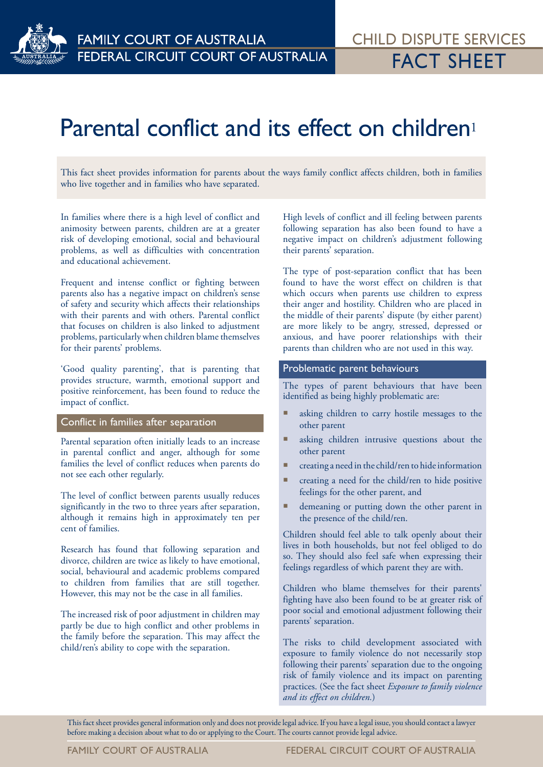

# Parental conflict and its effect on children<sup>1</sup>

This fact sheet provides information for parents about the ways family conflict affects children, both in families who live together and in families who have separated.

In families where there is a high level of conflict and animosity between parents, children are at a greater risk of developing emotional, social and behavioural problems, as well as difficulties with concentration and educational achievement.

Frequent and intense conflict or fighting between parents also has a negative impact on children's sense of safety and security which affects their relationships with their parents and with others. Parental conflict that focuses on children is also linked to adjustment problems, particularly when children blame themselves for their parents' problems.

'Good quality parenting', that is parenting that provides structure, warmth, emotional support and positive reinforcement, has been found to reduce the impact of conflict.

# Conflict in families after separation

Parental separation often initially leads to an increase in parental conflict and anger, although for some families the level of conflict reduces when parents do not see each other regularly.

The level of conflict between parents usually reduces significantly in the two to three years after separation, although it remains high in approximately ten per cent of families.

Research has found that following separation and divorce, children are twice as likely to have emotional, social, behavioural and academic problems compared to children from families that are still together. However, this may not be the case in all families.

The increased risk of poor adjustment in children may partly be due to high conflict and other problems in the family before the separation. This may affect the child/ren's ability to cope with the separation.

High levels of conflict and ill feeling between parents following separation has also been found to have a negative impact on children's adjustment following their parents' separation.

The type of post-separation conflict that has been found to have the worst effect on children is that which occurs when parents use children to express their anger and hostility. Children who are placed in the middle of their parents' dispute (by either parent) are more likely to be angry, stressed, depressed or anxious, and have poorer relationships with their parents than children who are not used in this way.

### Problematic parent behaviours

The types of parent behaviours that have been identified as being highly problematic are:

- asking children to carry hostile messages to the other parent
- asking children intrusive questions about the other parent
- creating a need in the child/ren to hide information
- creating a need for the child/ren to hide positive feelings for the other parent, and
- demeaning or putting down the other parent in the presence of the child/ren.

Children should feel able to talk openly about their lives in both households, but not feel obliged to do so. They should also feel safe when expressing their feelings regardless of which parent they are with.

Children who blame themselves for their parents' fighting have also been found to be at greater risk of poor social and emotional adjustment following their parents' separation.

The risks to child development associated with exposure to family violence do not necessarily stop following their parents' separation due to the ongoing risk of family violence and its impact on parenting practices. (See the fact sheet *Exposure to family violence and its effect on children.*)

This fact sheet provides general information only and does not provide legal advice. If you have a legal issue, you should contact a lawyer before making a decision about what to do or applying to the Court. The courts cannot provide legal advice.